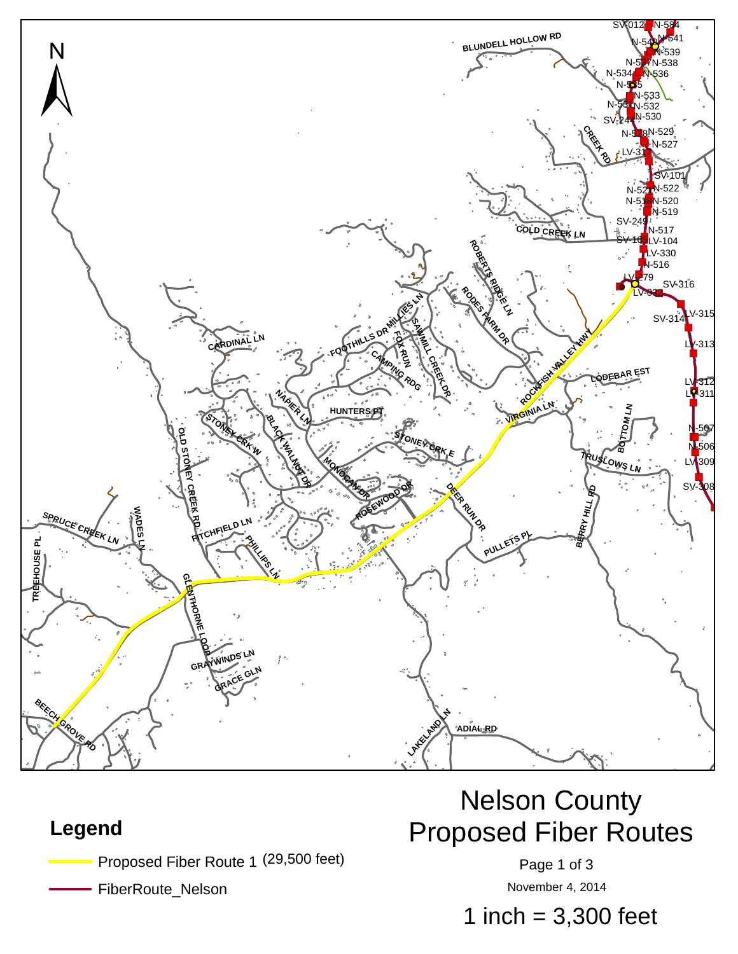

#### **Legend**

Proposed Fiber Route 1 (29,500 feet) The Contract Page 1 of 3

FiberRoute\_Nelson

# Nelson County Proposed Fiber Routes

November 4, 2014

1 inch =  $3,300$  feet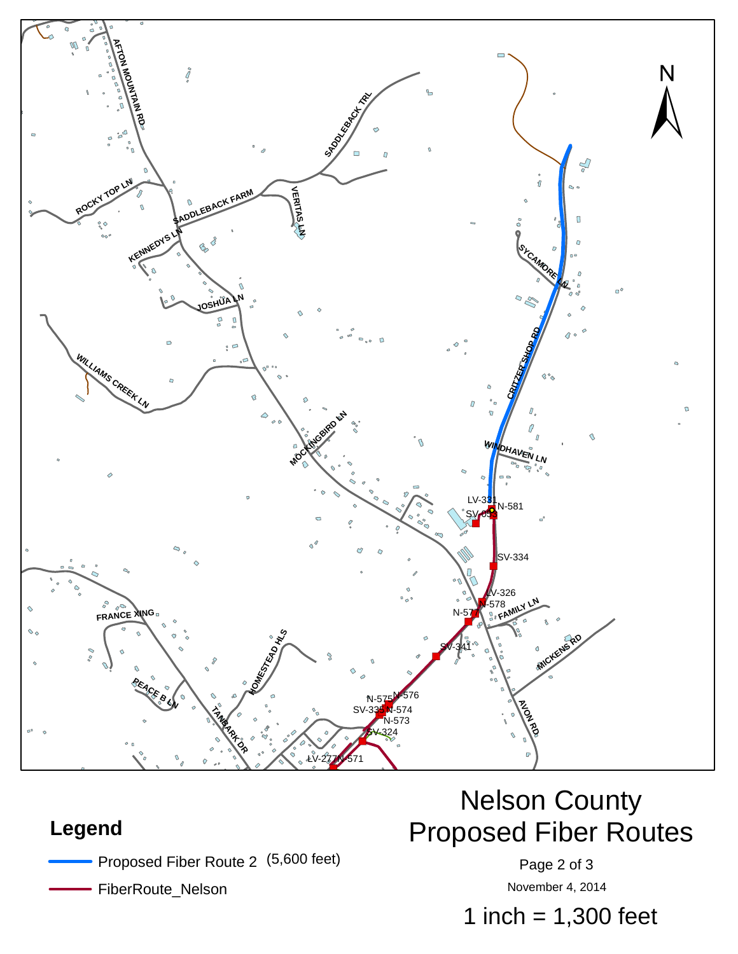

#### **Legend**

- Proposed Fiber Route 2 (5,600 feet) The Contract Page 2 of 3
	- FiberRoute\_Nelson

# Nelson County Proposed Fiber Routes

November 4, 2014

1 inch  $= 1,300$  feet